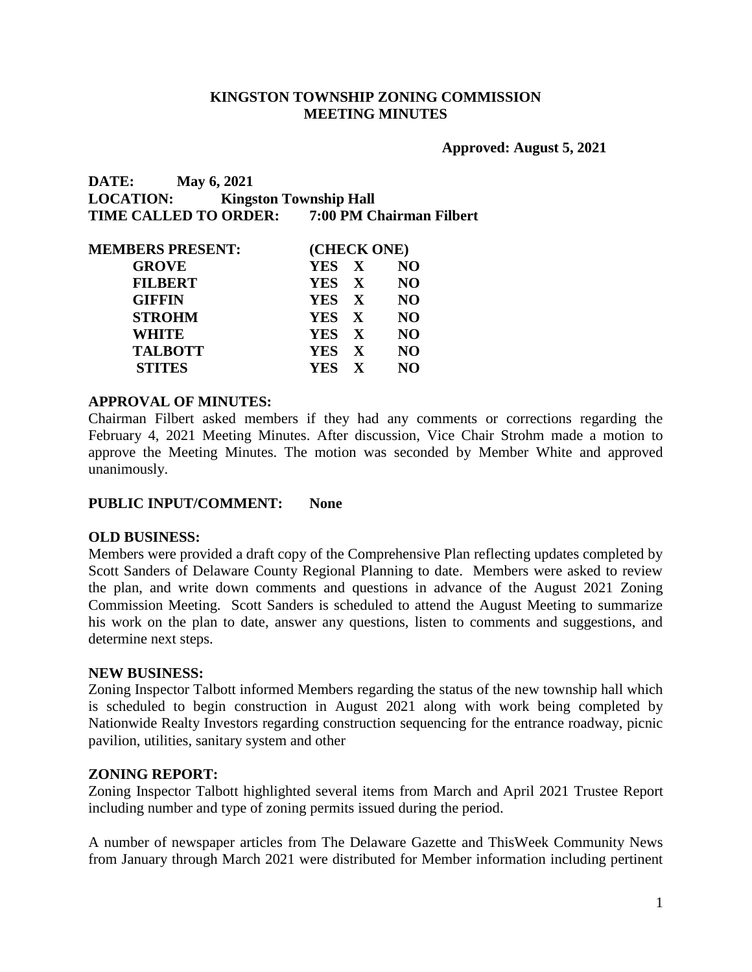### **KINGSTON TOWNSHIP ZONING COMMISSION MEETING MINUTES**

**Approved: August 5, 2021**

**DATE: May 6, 2021 LOCATION: Kingston Township Hall TIME CALLED TO ORDER: 7:00 PM Chairman Filbert**

| <b>MEMBERS PRESENT:</b> | (CHECK ONE)             |
|-------------------------|-------------------------|
| <b>GROVE</b>            | YES X<br><b>NO</b>      |
| <b>FILBERT</b>          | YES X<br><b>NO</b>      |
| <b>GIFFIN</b>           | YES X<br><b>NO</b>      |
| <b>STROHM</b>           | YES X<br><b>NO</b>      |
| WHITE                   | YES X<br><b>NO</b>      |
| <b>TALBOTT</b>          | <b>NO</b><br>YES X      |
| <b>STITES</b>           | YES X<br>N <sub>O</sub> |
|                         |                         |

### **APPROVAL OF MINUTES:**

Chairman Filbert asked members if they had any comments or corrections regarding the February 4, 2021 Meeting Minutes. After discussion, Vice Chair Strohm made a motion to approve the Meeting Minutes. The motion was seconded by Member White and approved unanimously.

#### **PUBLIC INPUT/COMMENT: None**

#### **OLD BUSINESS:**

Members were provided a draft copy of the Comprehensive Plan reflecting updates completed by Scott Sanders of Delaware County Regional Planning to date. Members were asked to review the plan, and write down comments and questions in advance of the August 2021 Zoning Commission Meeting. Scott Sanders is scheduled to attend the August Meeting to summarize his work on the plan to date, answer any questions, listen to comments and suggestions, and determine next steps.

#### **NEW BUSINESS:**

Zoning Inspector Talbott informed Members regarding the status of the new township hall which is scheduled to begin construction in August 2021 along with work being completed by Nationwide Realty Investors regarding construction sequencing for the entrance roadway, picnic pavilion, utilities, sanitary system and other

#### **ZONING REPORT:**

Zoning Inspector Talbott highlighted several items from March and April 2021 Trustee Report including number and type of zoning permits issued during the period.

A number of newspaper articles from The Delaware Gazette and ThisWeek Community News from January through March 2021 were distributed for Member information including pertinent